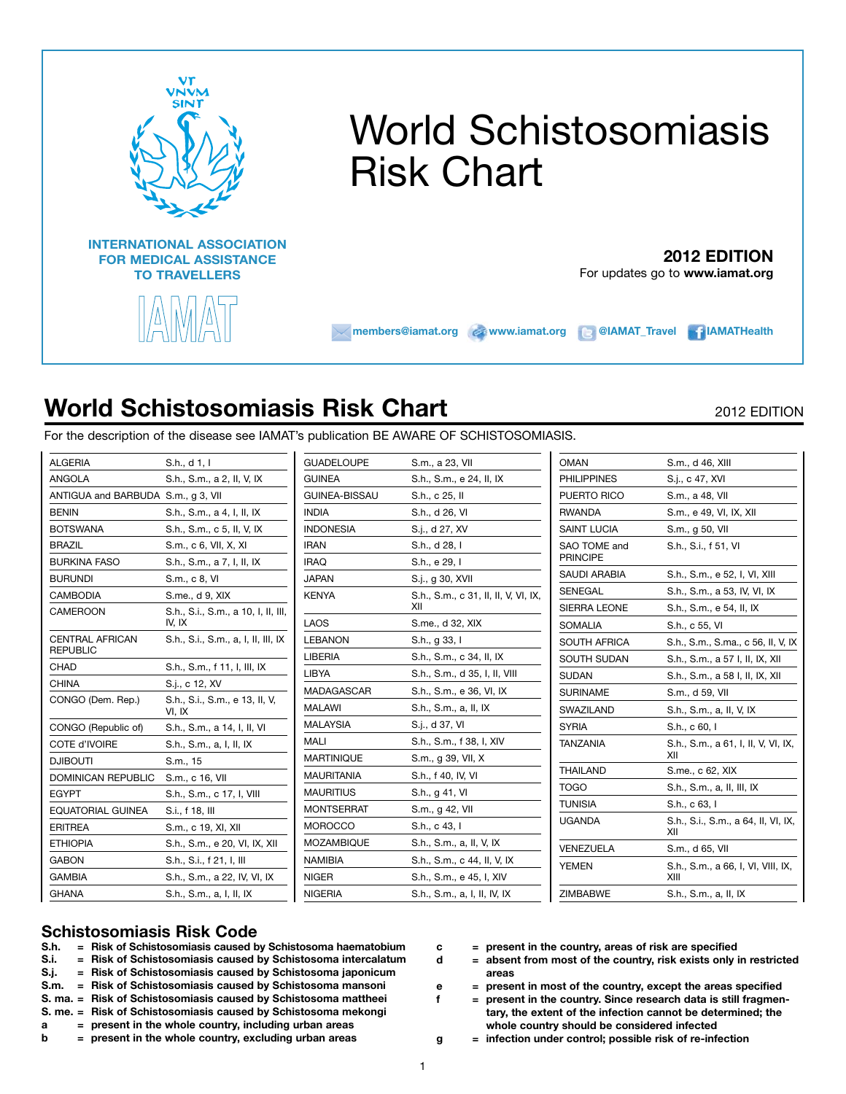

# World Schistosomiasis Risk Chart

### **2012 EDITION**

For updates go to **www.iamat.org**

**members@iamat.org @inww.iamat.org @IAMAT\_Travel in IAMATHealth** 

## **World Schistosomiasis Risk Chart** 2012 EDITION

For the description of the disease see IAMAT's publication BE AWARE OF SCHISTOSOMIASIS.

| ALGERIA                                   | S.h., d 1, I                                  |
|-------------------------------------------|-----------------------------------------------|
| ANGOLA                                    | S.h., S.m., a 2, II, V, IX                    |
| ANTIGUA and BARBUDA S.m., g 3, VII        |                                               |
| <b>BENIN</b>                              | S.h., S.m., a 4, I, II, IX                    |
| <b>BOTSWANA</b>                           | S.h., S.m., c 5, II, V, IX                    |
| BRAZIL                                    | S.m., c 6, VII, X, XI                         |
| <b>BURKINA FASO</b>                       | S.h., S.m., a 7, I, II, IX                    |
| <b>BURUNDI</b>                            | S.m., c 8, VI                                 |
| <b>CAMBODIA</b>                           | S.me., d 9, XIX                               |
| CAMEROON                                  | S.h., S.i., S.m., a 10, I, II, III,<br>IV, IX |
| <b>CENTRAL AFRICAN</b><br><b>REPUBLIC</b> | S.h., S.i., S.m., a, I, II, III, IX           |
| CHAD                                      | S.h., S.m., f 11, l, III, IX                  |
| <b>CHINA</b>                              | S.j., c 12, XV                                |
| CONGO (Dem. Rep.)                         | S.h., S.i., S.m., e 13, II, V,<br>VI, IX      |
| CONGO (Republic of)                       | S.h., S.m., a 14, I, II, VI                   |
| <b>COTE d'IVOIRE</b>                      | S.h., S.m., a, I, II, IX                      |
| DJIBOUTI                                  | S.m., 15                                      |
| <b>DOMINICAN REPUBLIC</b>                 | S.m., c 16, VII                               |
| <b>EGYPT</b>                              | S.h., S.m., c 17, I, VIII                     |
| <b>EQUATORIAL GUINEA</b>                  | S.i., f 18, III                               |
| <b>ERITREA</b>                            | S.m., c 19, XI, XII                           |
| <b>ETHIOPIA</b>                           | S.h., S.m., e 20, VI, IX, XII                 |
| <b>GABON</b>                              | S.h., S.i., f 21, I, III                      |
| <b>GAMBIA</b>                             | S.h., S.m., a 22, IV, VI, IX                  |
| <b>GHANA</b>                              | S.h., S.m., a, I, II, IX                      |
|                                           |                                               |

| GUADELOUPE        | S.m., a 23, VII                             |
|-------------------|---------------------------------------------|
| <b>GUINEA</b>     | S.h., S.m., e 24, II, IX                    |
| GUINEA-BISSAU     | S.h., c 25, II                              |
| <b>INDIA</b>      | S.h., d 26, VI                              |
| INDONESIA         | S.j., d 27, XV                              |
| iran              | S.h., d 28, I                               |
| IRAQ              | S.h., e 29, I                               |
| JAPAN             | S.j., g 30, XVII                            |
| KENYA             | S.h., S.m., c 31, II, II, V, VI, IX,<br>XII |
| LAOS              | S.me., d 32, XIX                            |
| LEBANON           | S.h., g 33, I                               |
| LIBERIA           | S.h., S.m., c 34, II, IX                    |
| LIBYA             | S.h., S.m., d 35, I, II, VIII               |
| MADAGASCAR        | S.h., S.m., e 36, VI, IX                    |
| MALAWI            | S.h., S.m., a, II, IX                       |
| MALAYSIA          | S.j., d 37, VI                              |
| MALI              | S.h., S.m., f 38, I, XIV                    |
| MARTINIQUE        | S.m., g 39, VII, X                          |
| MAURITANIA        | S.h., f 40, IV, VI                          |
| MAURITIUS         | S.h., g 41, VI                              |
| MONTSERRAT        | S.m., g 42, VII                             |
| MOROCCO           | S.h., c 43, I                               |
| <b>MOZAMBIQUE</b> | S.h., S.m., a, II, V, IX                    |
| NAMIBIA           | S.h., S.m., c 44, II, V, IX                 |
| NIGER             | S.h., S.m., e 45, I, XIV                    |
| NIGERIA           | S.h., S.m., a, I, II, IV, IX                |
|                   |                                             |

| <b>OMAN</b>                     | S.m., d 46, XIII                           |
|---------------------------------|--------------------------------------------|
| <b>PHILIPPINES</b>              | S.j., c 47, XVI                            |
| PUERTO RICO                     | S.m., a 48, VII                            |
| RWANDA                          | S.m., e 49, VI, IX, XII                    |
| <b>SAINT LUCIA</b>              | S.m., g 50, VII                            |
| SAO TOME and<br><b>PRINCIPE</b> | S.h., S.i., f 51, VI                       |
| SAUDI ARABIA                    | S.h., S.m., e 52, I, VI, XIII              |
| <b>SENEGAL</b>                  | S.h., S.m., a 53, IV, VI, IX               |
| <b>SIERRA LEONE</b>             | S.h., S.m., e 54, II, IX                   |
| SOMALIA                         | S.h., c 55, VI                             |
| SOUTH AFRICA                    | S.h., S.m., S.ma., c 56, II, V, IX         |
| SOUTH SUDAN                     | S.h., S.m., a 57 I, II, IX, XII            |
| SUDAN                           | S.h., S.m., a 58 I, II, IX, XII            |
| <b>SURINAME</b>                 | S.m., d 59, VII                            |
| SWAZILAND                       | S.h., S.m., a, II, V, IX                   |
| <b>SYRIA</b>                    | S.h., c 60, I                              |
| <b>TANZANIA</b>                 | S.h., S.m., a 61, I, II, V, VI, IX,<br>ХII |
| THAILAND                        | S.me., c 62, XIX                           |
| TOGO                            | S.h., S.m., a, II, III, IX                 |
| <b>TUNISIA</b>                  | S.h., c 63, I                              |
| UGANDA                          | S.h., S.i., S.m., a 64, II, VI, IX,<br>ХII |
| <b>VENEZUELA</b>                | S.m., d 65, VII                            |
| <b>YEMEN</b>                    | S.h., S.m., a 66, I, VI, VIII, IX,<br>XIII |
| ZIMBABWE                        | S.h., S.m., a, II, IX                      |
|                                 |                                            |

## **Schistosomiasis Risk Code**

- **S.h. = Risk of Schistosomiasis caused by Schistosoma haematobium**
- **S.i. = Risk of Schistosomiasis caused by Schistosoma intercalatum**
- **S.j. = Risk of Schistosomiasis caused by Schistosoma japonicum**
- **S.m. = Risk of Schistosomiasis caused by Schistosoma mansoni**
- **S. ma. = Risk of Schistosomiasis caused by Schistosoma mattheei**
- **S. me. = Risk of Schistosomiasis caused by Schistosoma mekongi**
- **a = present in the whole country, including urban areas**
- **b = present in the whole country, excluding urban areas**
- **c = present in the country, areas of risk are specified**
- **d = absent from most of the country, risk exists only in restricted areas**

**e = present in most of the country, except the areas specified**

- **f = present in the country. Since research data is still fragmentary, the extent of the infection cannot be determined; the whole country should be considered infected**
- **g = infection under control; possible risk of re-infection**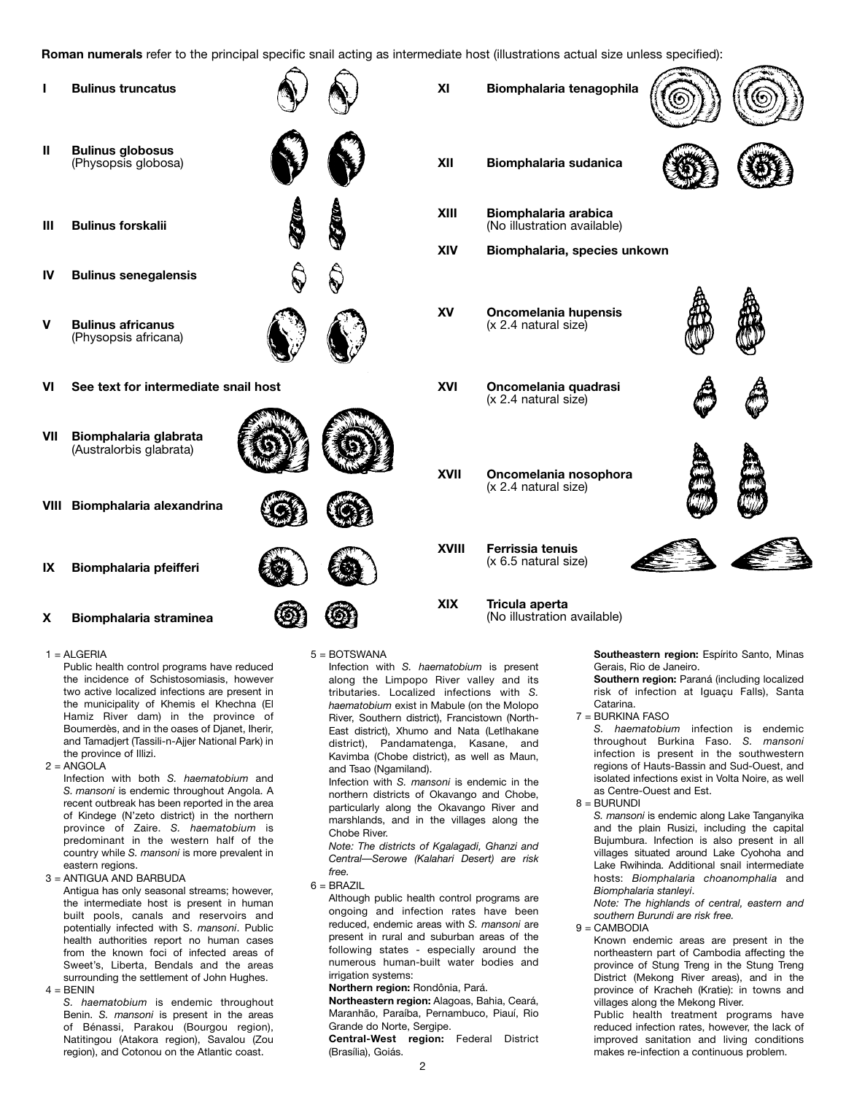**Roman numerals** refer to the principal specific snail acting as intermediate host (illustrations actual size unless specified):



#### $1 = AI$  GFRIA

Public health control programs have reduced the incidence of Schistosomiasis, however two active localized infections are present in the municipality of Khemis el Khechna (El Hamiz River dam) in the province of Boumerdès, and in the oases of Djanet, Iherir, and Tamadjert (Tassili-n-Ajjer National Park) in the province of Illizi.

 $2 = ANGOLA$ 

Infection with both *S. haematobium* and *S. mansoni* is endemic throughout Angola. A recent outbreak has been reported in the area of Kindege (N'zeto district) in the northern province of Zaire. *S. haematobium* is predominant in the western half of the country while *S. mansoni* is more prevalent in eastern regions.

3 = ANTIGUA AND BARBUDA

Antigua has only seasonal streams; however, the intermediate host is present in human built pools, canals and reservoirs and potentially infected with S. *mansoni*. Public health authorities report no human cases from the known foci of infected areas of Sweet's, Liberta, Bendals and the areas surrounding the settlement of John Hughes.  $4 =$  BFNIN

*S. haematobium* is endemic throughout Benin. *S. mansoni* is present in the areas of Bénassi, Parakou (Bourgou region), Natitingou (Atakora region), Savalou (Zou region), and Cotonou on the Atlantic coast.

5 = BOTSWANA

Infection with *S. haematobium* is present along the Limpopo River valley and its tributaries. Localized infections with *S. haematobium* exist in Mabule (on the Molopo River, Southern district), Francistown (North-East district), Xhumo and Nata (Letlhakane district), Pandamatenga, Kasane, and Kavimba (Chobe district), as well as Maun, and Tsao (Ngamiland).

Infection with *S. mansoni* is endemic in the northern districts of Okavango and Chobe, particularly along the Okavango River and marshlands, and in the villages along the Chobe River.

*Note: The districts of Kgalagadi, Ghanzi and Central—Serowe (Kalahari Desert) are risk free.*

 $6 = BRAZIL$ 

Although public health control programs are ongoing and infection rates have been reduced, endemic areas with *S. mansoni* are present in rural and suburban areas of the following states - especially around the numerous human-built water bodies and irrigation systems:

#### **Northern region:** Rondônia, Pará.

**Northeastern region:** Alagoas, Bahia, Ceará, Maranhão, Paraíba, Pernambuco, Piauí, Rio Grande do Norte, Sergipe.

**Central-West region:** Federal District (Brasília), Goiás.

**Southeastern region:** Espírito Santo, Minas Gerais, Rio de Janeiro.

**Southern region:** Paraná (including localized risk of infection at Iguaçu Falls), Santa Catarina.

7 = BURKINA FASO

*S. haematobium* infection is endemic throughout Burkina Faso. *S. mansoni* infection is present in the southwestern regions of Hauts-Bassin and Sud-Ouest, and isolated infections exist in Volta Noire, as well as Centre-Ouest and Est.

8 = BURUNDI

*S. mansoni* is endemic along Lake Tanganyika and the plain Rusizi, including the capital Bujumbura. Infection is also present in all villages situated around Lake Cyohoha and Lake Rwihinda. Additional snail intermediate hosts: *Biomphalaria choanomphalia* and *Biomphalaria stanleyi*.

*Note: The highlands of central, eastern and southern Burundi are risk free.*

 $9 =$ CAMBODIA

Known endemic areas are present in the northeastern part of Cambodia affecting the province of Stung Treng in the Stung Treng District (Mekong River areas), and in the province of Kracheh (Kratie): in towns and villages along the Mekong River.

Public health treatment programs have reduced infection rates, however, the lack of improved sanitation and living conditions makes re-infection a continuous problem.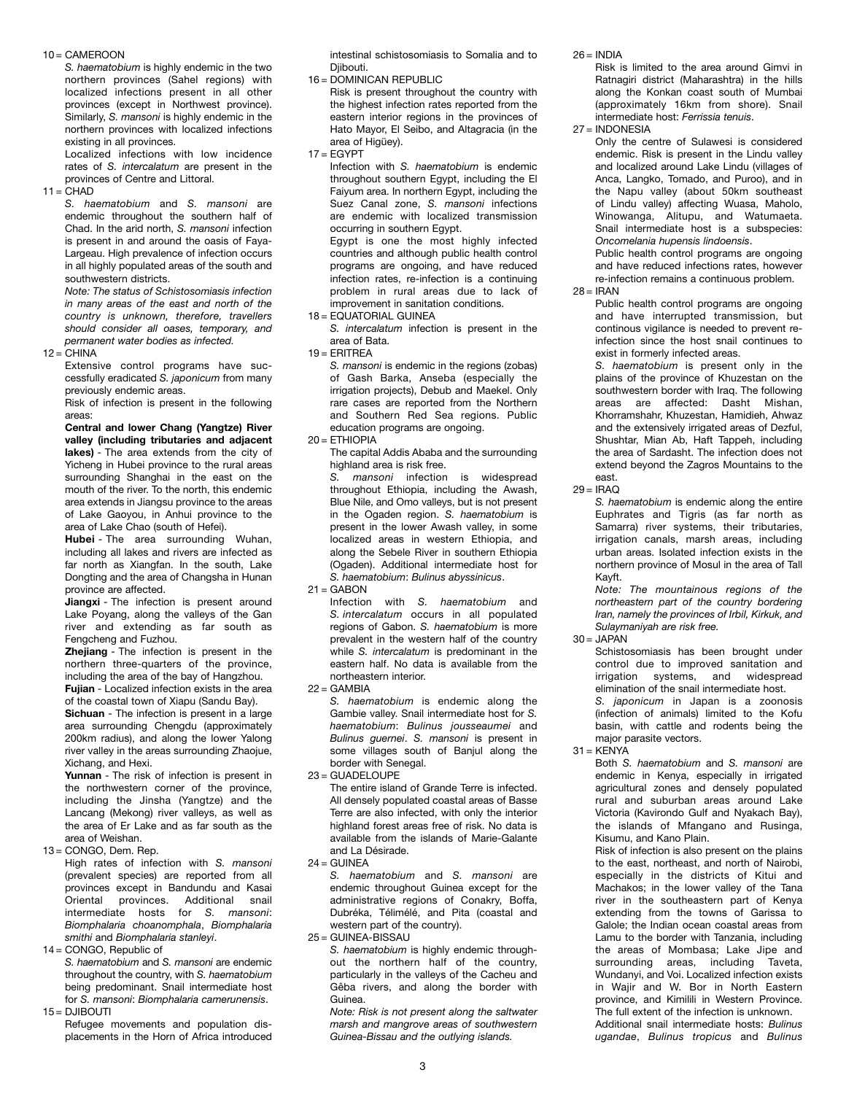#### 10 = CAMEROON

*S. haematobium* is highly endemic in the two northern provinces (Sahel regions) with localized infections present in all other provinces (except in Northwest province). Similarly, *S. mansoni* is highly endemic in the northern provinces with localized infections existing in all provinces.

Localized infections with low incidence rates of *S. intercalatum* are present in the provinces of Centre and Littoral.

 $11 = CHAD$ 

*S. haematobium* and *S. mansoni* are endemic throughout the southern half of Chad. In the arid north, *S. mansoni* infection is present in and around the oasis of Faya-Largeau. High prevalence of infection occurs in all highly populated areas of the south and southwestern districts.

*Note: The status of Schistosomiasis infection in many areas of the east and north of the country is unknown, therefore, travellers should consider all oases, temporary, and permanent water bodies as infected.*

 $12 = CHINA$ 

Extensive control programs have successfully eradicated *S. japonicum* from many previously endemic areas.

Risk of infection is present in the following areas:

**Central and lower Chang (Yangtze) River valley (including tributaries and adjacent lakes)** - The area extends from the city of Yicheng in Hubei province to the rural areas surrounding Shanghai in the east on the mouth of the river. To the north, this endemic area extends in Jiangsu province to the areas of Lake Gaoyou, in Anhui province to the area of Lake Chao (south of Hefei).

**Hubei** - The area surrounding Wuhan, including all lakes and rivers are infected as far north as Xiangfan. In the south, Lake Dongting and the area of Changsha in Hunan province are affected.

**Jiangxi** - The infection is present around Lake Poyang, along the valleys of the Gan river and extending as far south as Fengcheng and Fuzhou.

**Zhejiang** - The infection is present in the northern three-quarters of the province, including the area of the bay of Hangzhou.

**Fujian** - Localized infection exists in the area of the coastal town of Xiapu (Sandu Bay).

**Sichuan** - The infection is present in a large area surrounding Chengdu (approximately 200km radius), and along the lower Yalong river valley in the areas surrounding Zhaojue, Xichang, and Hexi.

**Yunnan** - The risk of infection is present in the northwestern corner of the province, including the Jinsha (Yangtze) and the Lancang (Mekong) river valleys, as well as the area of Er Lake and as far south as the area of Weishan.

13 = CONGO, Dem. Rep.

High rates of infection with *S. mansoni* (prevalent species) are reported from all provinces except in Bandundu and Kasai Oriental provinces. Additional snail intermediate hosts for *S. mansoni*: *Biomphalaria choanomphala*, *Biomphalaria smithi* and *Biomphalaria stanleyi*.

14 = CONGO, Republic of

*S. haematobium* and *S. mansoni* are endemic throughout the country, with *S. haematobium* being predominant. Snail intermediate host for *S. mansoni*: *Biomphalaria camerunensis*. 15 = DJIBOUTI

Refugee movements and population displacements in the Horn of Africa introduced intestinal schistosomiasis to Somalia and to Diibouti.

16 = DOMINICAN REPUBLIC

Risk is present throughout the country with the highest infection rates reported from the eastern interior regions in the provinces of Hato Mayor, El Seibo, and Altagracia (in the area of Higüey).

 $17 = EGYPT$ 

Infection with *S. haematobium* is endemic throughout southern Egypt, including the El Faiyum area. In northern Egypt, including the Suez Canal zone, *S. mansoni* infections are endemic with localized transmission occurring in southern Egypt. Egypt is one the most highly infected countries and although public health control programs are ongoing, and have reduced infection rates, re-infection is a continuing problem in rural areas due to lack of improvement in sanitation conditions.

 $18 =$  EQUATORIAL GUINEA

*S. intercalatum* infection is present in the area of Bata.

 $19$  = ERITREA

*S. mansoni* is endemic in the regions (zobas) of Gash Barka, Anseba (especially the irrigation projects), Debub and Maekel. Only rare cases are reported from the Northern and Southern Red Sea regions. Public education programs are ongoing.

 $20 = ETHIOPIA$ 

The capital Addis Ababa and the surrounding highland area is risk free.

*S. mansoni* infection is widespread throughout Ethiopia, including the Awash, Blue Nile, and Omo valleys, but is not present in the Ogaden region. *S. haematobium* is present in the lower Awash valley, in some localized areas in western Ethiopia, and along the Sebele River in southern Ethiopia (Ogaden). Additional intermediate host for *S. haematobium*: *Bulinus abyssinicus*.

 $21$  = GARON

Infection with *S. haematobium* and *S. intercalatum* occurs in all populated regions of Gabon. *S. haematobium* is more prevalent in the western half of the country while *S. intercalatum* is predominant in the eastern half. No data is available from the northeastern interior.

 $22 = GAMBIA$ 

*S. haematobium* is endemic along the Gambie valley. Snail intermediate host for *S. haematobium*: *Bulinus jousseaumei* and *Bulinus guernei*. *S. mansoni* is present in some villages south of Banjul along the border with Senegal.

23 = GUADELOUPE

The entire island of Grande Terre is infected. All densely populated coastal areas of Basse Terre are also infected, with only the interior highland forest areas free of risk. No data is available from the islands of Marie-Galante and La Désirade.

 $24 =$  GUINEA

*S. haematobium* and *S. mansoni* are endemic throughout Guinea except for the administrative regions of Conakry, Boffa, Dubréka, Télimélé, and Pita (coastal and western part of the country).

25 = GUINEA-BISSAU

*S. haematobium* is highly endemic throughout the northern half of the country, particularly in the valleys of the Cacheu and Gêba rivers, and along the border with Guinea.

*Note: Risk is not present along the saltwater marsh and mangrove areas of southwestern Guinea-Bissau and the outlying islands.*

 $26 =$ INDIA

Risk is limited to the area around Gimvi in Ratnagiri district (Maharashtra) in the hills along the Konkan coast south of Mumbai (approximately 16km from shore). Snail intermediate host: *Ferrissia tenuis*.

27 = INDONESIA

Only the centre of Sulawesi is considered endemic. Risk is present in the Lindu valley and localized around Lake Lindu (villages of Anca, Langko, Tomado, and Puroo), and in the Napu valley (about 50km southeast of Lindu valley) affecting Wuasa, Maholo, Winowanga, Alitupu, and Watumaeta. Snail intermediate host is a subspecies: *Oncomelania hupensis lindoensis*. Public health control programs are ongoing

and have reduced infections rates, however re-infection remains a continuous problem.

 $28 = IRAN$ 

Public health control programs are ongoing and have interrupted transmission, but continous vigilance is needed to prevent reinfection since the host snail continues to exist in formerly infected areas.

*S. haematobium* is present only in the plains of the province of Khuzestan on the southwestern border with Iraq. The following areas are affected: Dasht Mishan, Khorramshahr, Khuzestan, Hamidieh, Ahwaz and the extensively irrigated areas of Dezful, Shushtar, Mian Ab, Haft Tappeh, including the area of Sardasht. The infection does not extend beyond the Zagros Mountains to the east.

 $29 = IRAO$ 

*S. haematobium* is endemic along the entire Euphrates and Tigris (as far north as Samarra) river systems, their tributaries, irrigation canals, marsh areas, including urban areas. Isolated infection exists in the northern province of Mosul in the area of Tall Kayft.

*Note: The mountainous regions of the northeastern part of the country bordering Iran, namely the provinces of Irbil, Kirkuk, and Sulaymaniyah are risk free.*

 $30 =$  JAPAN

Schistosomiasis has been brought under control due to improved sanitation and irrigation systems, and widespread elimination of the snail intermediate host.

*S. japonicum* in Japan is a zoonosis (infection of animals) limited to the Kofu basin, with cattle and rodents being the major parasite vectors.

 $31 =$  KFNYA

Both *S. haematobium* and *S. mansoni* are endemic in Kenya, especially in irrigated agricultural zones and densely populated rural and suburban areas around Lake Victoria (Kavirondo Gulf and Nyakach Bay), the islands of Mfangano and Rusinga, Kisumu, and Kano Plain.

Risk of infection is also present on the plains to the east, northeast, and north of Nairobi, especially in the districts of Kitui and Machakos; in the lower valley of the Tana river in the southeastern part of Kenya extending from the towns of Garissa to Galole; the Indian ocean coastal areas from Lamu to the border with Tanzania, including the areas of Mombasa; Lake Jipe and surrounding areas, including Taveta, Wundanyi, and Voi. Localized infection exists in Wajir and W. Bor in North Eastern province, and Kimilili in Western Province. The full extent of the infection is unknown. Additional snail intermediate hosts: *Bulinus ugandae*, *Bulinus tropicus* and *Bulinus*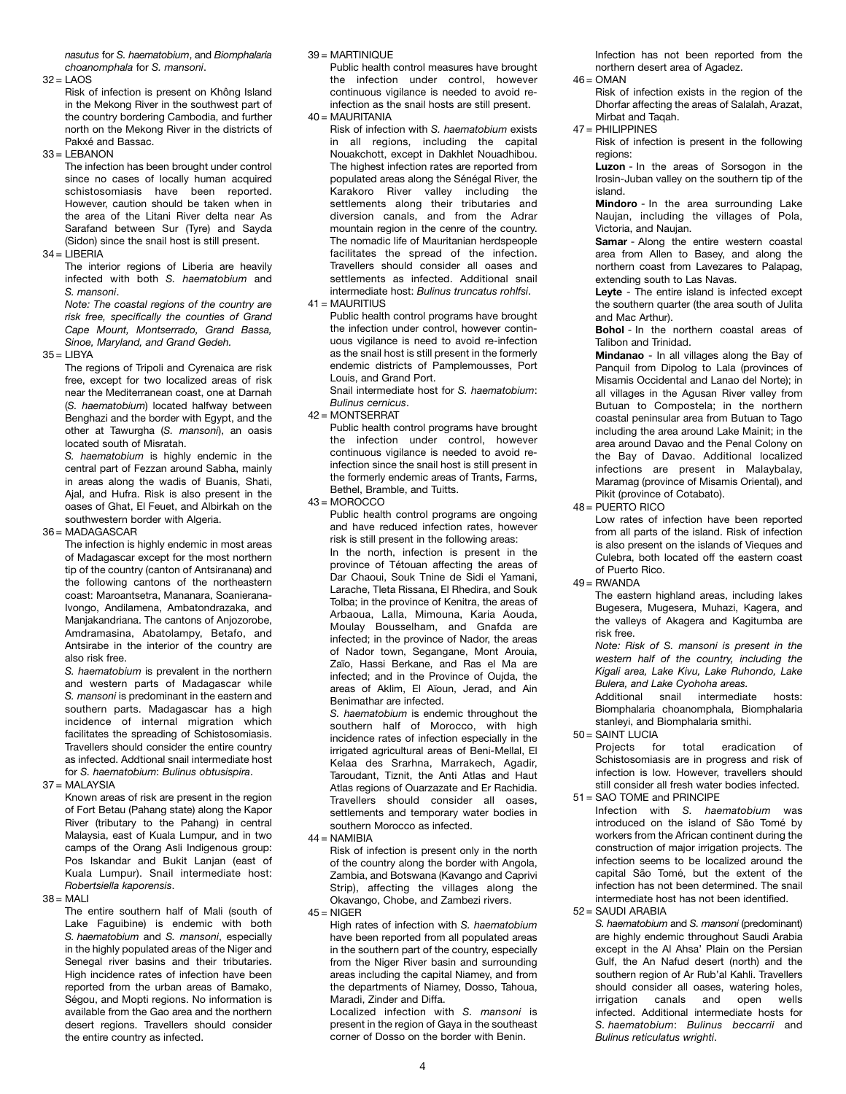*nasutus* for *S. haematobium*, and *Biomphalaria choanomphala* for *S. mansoni*.

 $32 = LAOS$ 

Risk of infection is present on Không Island in the Mekong River in the southwest part of the country bordering Cambodia, and further north on the Mekong River in the districts of Pakxé and Bassac.

 $33 = 1$  FRANON

The infection has been brought under control since no cases of locally human acquired schistosomiasis have been reported. However, caution should be taken when in the area of the Litani River delta near As Sarafand between Sur (Tyre) and Sayda (Sidon) since the snail host is still present.

 $34 = LIBERIA$ 

The interior regions of Liberia are heavily infected with both *S. haematobium* and *S. mansoni*.

*Note: The coastal regions of the country are risk free, specifically the counties of Grand Cape Mount, Montserrado, Grand Bassa, Sinoe, Maryland, and Grand Gedeh.*

 $35 = LIBYA$ 

The regions of Tripoli and Cyrenaica are risk free, except for two localized areas of risk near the Mediterranean coast, one at Darnah (*S. haematobium*) located halfway between Benghazi and the border with Egypt, and the other at Tawurgha (*S. mansoni*), an oasis located south of Misratah.

*S. haematobium* is highly endemic in the central part of Fezzan around Sabha, mainly in areas along the wadis of Buanis, Shati, Ajal, and Hufra. Risk is also present in the oases of Ghat, El Feuet, and Albirkah on the southwestern border with Algeria.

#### 36 = MADAGASCAR

The infection is highly endemic in most areas of Madagascar except for the most northern tip of the country (canton of Antsiranana) and the following cantons of the northeastern coast: Maroantsetra, Mananara, Soanierana-Ivongo, Andilamena, Ambatondrazaka, and Manjakandriana. The cantons of Anjozorobe, Amdramasina, Abatolampy, Betafo, and Antsirabe in the interior of the country are also risk free.

*S. haematobium* is prevalent in the northern and western parts of Madagascar while *S. mansoni* is predominant in the eastern and southern parts. Madagascar has a high incidence of internal migration which facilitates the spreading of Schistosomiasis. Travellers should consider the entire country as infected. Addtional snail intermediate host for *S. haematobium*: *Bulinus obtusispira*.

37 = MALAYSIA

Known areas of risk are present in the region of Fort Betau (Pahang state) along the Kapor River (tributary to the Pahang) in central Malaysia, east of Kuala Lumpur, and in two camps of the Orang Asli Indigenous group: Pos Iskandar and Bukit Lanjan (east of Kuala Lumpur). Snail intermediate host: *Robertsiella kaporensis*.

#### $38 = MAH$

The entire southern half of Mali (south of Lake Faguibine) is endemic with both *S. haematobium* and *S. mansoni*, especially in the highly populated areas of the Niger and Senegal river basins and their tributaries. High incidence rates of infection have been reported from the urban areas of Bamako, Ségou, and Mopti regions. No information is available from the Gao area and the northern desert regions. Travellers should consider the entire country as infected.

#### 39 = MARTINIQUE

Public health control measures have brought the infection under control, however continuous vigilance is needed to avoid reinfection as the snail hosts are still present. 40 = MAURITANIA

Risk of infection with *S. haematobium* exists in all regions, including the capital Nouakchott, except in Dakhlet Nouadhibou. The highest infection rates are reported from populated areas along the Sénégal River, the Karakoro River valley including the settlements along their tributaries and diversion canals, and from the Adrar mountain region in the cenre of the country. The nomadic life of Mauritanian herdspeople facilitates the spread of the infection. Travellers should consider all oases and settlements as infected. Additional snail intermediate host: *Bulinus truncatus rohlfsi*.  $41 = MAUIRITIUS$ 

Public health control programs have brought the infection under control, however continuous vigilance is need to avoid re-infection as the snail host is still present in the formerly endemic districts of Pamplemousses, Port Louis, and Grand Port.

Snail intermediate host for *S. haematobium*: *Bulinus cernicus*.

 $42$  = MONTSERRAT

Public health control programs have brought the infection under control, however continuous vigilance is needed to avoid reinfection since the snail host is still present in the formerly endemic areas of Trants, Farms, Bethel, Bramble, and Tuitts.

 $43 = MOROCCO$ 

Public health control programs are ongoing and have reduced infection rates, however risk is still present in the following areas:

In the north, infection is present in the province of Tétouan affecting the areas of Dar Chaoui, Souk Tnine de Sidi el Yamani, Larache, Tleta Rissana, El Rhedira, and Souk Tolba; in the province of Kenitra, the areas of Arbaoua, Lalla, Mimouna, Karia Aouda, Moulay Bousselham, and Gnafda are infected; in the province of Nador, the areas of Nador town, Segangane, Mont Arouia, Zaïo, Hassi Berkane, and Ras el Ma are infected; and in the Province of Oujda, the areas of Aklim, El Aïoun, Jerad, and Ain Benimathar are infected.

*S. haematobium* is endemic throughout the southern half of Morocco, with high incidence rates of infection especially in the irrigated agricultural areas of Beni-Mellal, El Kelaa des Srarhna, Marrakech, Agadir, Taroudant, Tiznit, the Anti Atlas and Haut Atlas regions of Ouarzazate and Er Rachidia. Travellers should consider all oases, settlements and temporary water bodies in southern Morocco as infected.

 $44 = NAMIBIA$ 

Risk of infection is present only in the north of the country along the border with Angola, Zambia, and Botswana (Kavango and Caprivi Strip), affecting the villages along the Okavango, Chobe, and Zambezi rivers.

 $45 = NIGFR$ 

High rates of infection with *S. haematobium* have been reported from all populated areas in the southern part of the country, especially from the Niger River basin and surrounding areas including the capital Niamey, and from the departments of Niamey, Dosso, Tahoua, Maradi, Zinder and Diffa.

Localized infection with *S. mansoni* is present in the region of Gaya in the southeast corner of Dosso on the border with Benin.

Infection has not been reported from the northern desert area of Agadez.

 $46 =$  OMAN

Risk of infection exists in the region of the Dhorfar affecting the areas of Salalah, Arazat, Mirbat and Taqah.

47 = PHILIPPINES

Risk of infection is present in the following regions:

**Luzon** - In the areas of Sorsogon in the Irosin-Juban valley on the southern tip of the island.

**Mindoro** - In the area surrounding Lake Naujan, including the villages of Pola, Victoria, and Naujan.

**Samar** - Along the entire western coastal area from Allen to Basey, and along the northern coast from Lavezares to Palapag, extending south to Las Navas.

**Leyte** - The entire island is infected except the southern quarter (the area south of Julita and Mac Arthur).

**Bohol** - In the northern coastal areas of Talibon and Trinidad.

**Mindanao** - In all villages along the Bay of Panquil from Dipolog to Lala (provinces of Misamis Occidental and Lanao del Norte); in all villages in the Agusan River valley from Butuan to Compostela; in the northern coastal peninsular area from Butuan to Tago including the area around Lake Mainit; in the area around Davao and the Penal Colony on the Bay of Davao. Additional localized infections are present in Malaybalay, Maramag (province of Misamis Oriental), and Pikit (province of Cotabato).

48 = PUERTO RICO

Low rates of infection have been reported from all parts of the island. Risk of infection is also present on the islands of Vieques and Culebra, both located off the eastern coast of Puerto Rico.

 $49 = RWANDA$ 

The eastern highland areas, including lakes Bugesera, Mugesera, Muhazi, Kagera, and the valleys of Akagera and Kagitumba are risk free.

*Note: Risk of S. mansoni is present in the western half of the country, including the Kigali area, Lake Kivu, Lake Ruhondo, Lake Bulera, and Lake Cyohoha areas.* 

Additional snail intermediate hosts: Biomphalaria choanomphala, Biomphalaria stanleyi, and Biomphalaria smithi.  $50 =$ SAINT LUCIA

Projects for total eradication of Schistosomiasis are in progress and risk of infection is low. However, travellers should still consider all fresh water bodies infected. 51 = SAO TOME and PRINCIPE

Infection with *S. haematobium* was introduced on the island of São Tomé by workers from the African continent during the construction of major irrigation projects. The infection seems to be localized around the capital São Tomé, but the extent of the infection has not been determined. The snail intermediate host has not been identified.

52 = SAUDI ARABIA

*S. haematobium* and *S. mansoni* (predominant) are highly endemic throughout Saudi Arabia except in the Al Ahsa' Plain on the Persian Gulf, the An Nafud desert (north) and the southern region of Ar Rub'al Kahli. Travellers should consider all oases, watering holes, irrigation canals and open wells infected. Additional intermediate hosts for *S. haematobium*: *Bulinus beccarrii* and *Bulinus reticulatus wrighti*.